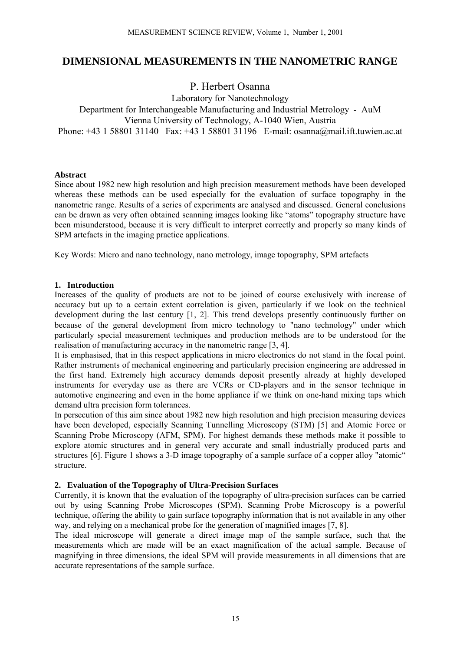# **DIMENSIONAL MEASUREMENTS IN THE NANOMETRIC RANGE**

P. Herbert Osanna

## Laboratory for Nanotechnology Department for Interchangeable Manufacturing and Industrial Metrology - AuM Vienna University of Technology, A-1040 Wien, Austria Phone: +43 1 58801 31140 Fax: +43 1 58801 31196 E-mail: osanna@mail.ift.tuwien.ac.at

### **Abstract**

Since about 1982 new high resolution and high precision measurement methods have been developed whereas these methods can be used especially for the evaluation of surface topography in the nanometric range. Results of a series of experiments are analysed and discussed. General conclusions can be drawn as very often obtained scanning images looking like "atoms" topography structure have been misunderstood, because it is very difficult to interpret correctly and properly so many kinds of SPM artefacts in the imaging practice applications.

Key Words: Micro and nano technology, nano metrology, image topography, SPM artefacts

#### **1. Introduction**

Increases of the quality of products are not to be joined of course exclusively with increase of accuracy but up to a certain extent correlation is given, particularly if we look on the technical development during the last century [1, 2]. This trend develops presently continuously further on because of the general development from micro technology to "nano technology" under which particularly special measurement techniques and production methods are to be understood for the realisation of manufacturing accuracy in the nanometric range [3, 4].

It is emphasised, that in this respect applications in micro electronics do not stand in the focal point. Rather instruments of mechanical engineering and particularly precision engineering are addressed in the first hand. Extremely high accuracy demands deposit presently already at highly developed instruments for everyday use as there are VCRs or CD-players and in the sensor technique in automotive engineering and even in the home appliance if we think on one-hand mixing taps which demand ultra precision form tolerances.

In persecution of this aim since about 1982 new high resolution and high precision measuring devices have been developed, especially Scanning Tunnelling Microscopy (STM) [5] and Atomic Force or Scanning Probe Microscopy (AFM, SPM). For highest demands these methods make it possible to explore atomic structures and in general very accurate and small industrially produced parts and structures [6]. Figure 1 shows a 3-D image topography of a sample surface of a copper alloy "atomic" structure.

### **2. Evaluation of the Topography of Ultra-Precision Surfaces**

Currently, it is known that the evaluation of the topography of ultra-precision surfaces can be carried out by using Scanning Probe Microscopes (SPM). Scanning Probe Microscopy is a powerful technique, offering the ability to gain surface topography information that is not available in any other way, and relying on a mechanical probe for the generation of magnified images [7, 8].

The ideal microscope will generate a direct image map of the sample surface, such that the measurements which are made will be an exact magnification of the actual sample. Because of magnifying in three dimensions, the ideal SPM will provide measurements in all dimensions that are accurate representations of the sample surface.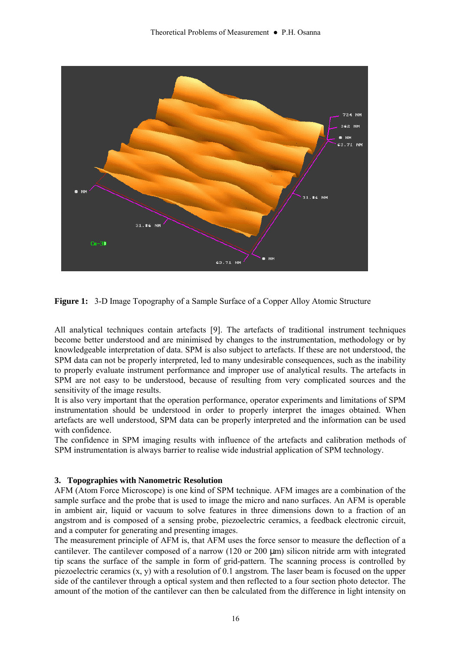

**Figure 1:** 3-D Image Topography of a Sample Surface of a Copper Alloy Atomic Structure

All analytical techniques contain artefacts [9]. The artefacts of traditional instrument techniques become better understood and are minimised by changes to the instrumentation, methodology or by knowledgeable interpretation of data. SPM is also subject to artefacts. If these are not understood, the SPM data can not be properly interpreted, led to many undesirable consequences, such as the inability to properly evaluate instrument performance and improper use of analytical results. The artefacts in SPM are not easy to be understood, because of resulting from very complicated sources and the sensitivity of the image results.

It is also very important that the operation performance, operator experiments and limitations of SPM instrumentation should be understood in order to properly interpret the images obtained. When artefacts are well understood, SPM data can be properly interpreted and the information can be used with confidence.

The confidence in SPM imaging results with influence of the artefacts and calibration methods of SPM instrumentation is always barrier to realise wide industrial application of SPM technology.

### **3. Topographies with Nanometric Resolution**

AFM (Atom Force Microscope) is one kind of SPM technique. AFM images are a combination of the sample surface and the probe that is used to image the micro and nano surfaces. An AFM is operable in ambient air, liquid or vacuum to solve features in three dimensions down to a fraction of an angstrom and is composed of a sensing probe, piezoelectric ceramics, a feedback electronic circuit, and a computer for generating and presenting images.

The measurement principle of AFM is, that AFM uses the force sensor to measure the deflection of a cantilever. The cantilever composed of a narrow (120 or 200 µm) silicon nitride arm with integrated tip scans the surface of the sample in form of grid-pattern. The scanning process is controlled by piezoelectric ceramics (x, y) with a resolution of 0.1 angstrom. The laser beam is focused on the upper side of the cantilever through a optical system and then reflected to a four section photo detector. The amount of the motion of the cantilever can then be calculated from the difference in light intensity on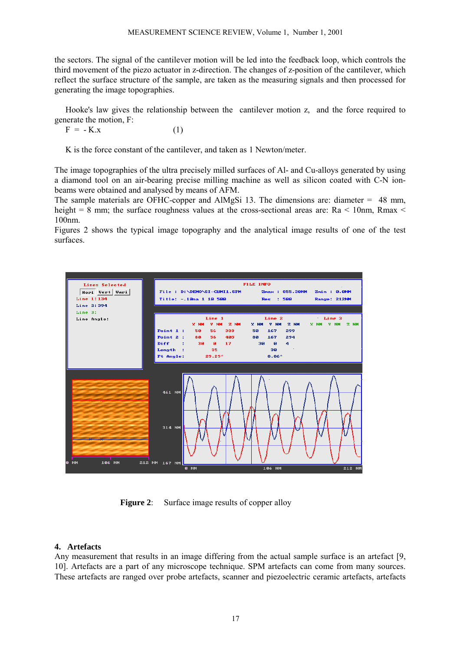the sectors. The signal of the cantilever motion will be led into the feedback loop, which controls the third movement of the piezo actuator in z-direction. The changes of z-position of the cantilever, which reflect the surface structure of the sample, are taken as the measuring signals and then processed for generating the image topographies.

Hooke's law gives the relationship between the cantilever motion z, and the force required to generate the motion, F:

 $F = -K_x$  (1)

K is the force constant of the cantilever, and taken as 1 Newton/meter.

The image topographies of the ultra precisely milled surfaces of Al- and Cu-alloys generated by using a diamond tool on an air-bearing precise milling machine as well as silicon coated with C-N ionbeams were obtained and analysed by means of AFM.

The sample materials are OFHC-copper and AlMgSi 13. The dimensions are: diameter  $= 48$  mm, height = 8 mm; the surface roughness values at the cross-sectional areas are: Ra  $\lt$  10nm, Rmax  $\lt$ 100nm.

Figures 2 shows the typical image topography and the analytical image results of one of the test surfaces.



**Figure 2:** Surface image results of copper alloy

### **4. Artefacts**

Any measurement that results in an image differing from the actual sample surface is an artefact [9, 10]. Artefacts are a part of any microscope technique. SPM artefacts can come from many sources. These artefacts are ranged over probe artefacts, scanner and piezoelectric ceramic artefacts, artefacts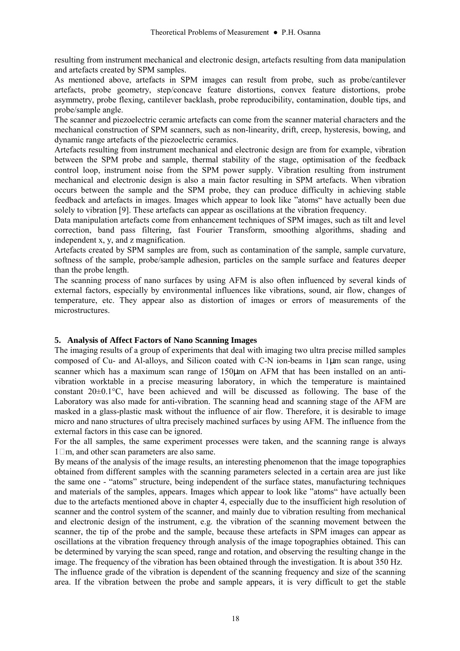resulting from instrument mechanical and electronic design, artefacts resulting from data manipulation and artefacts created by SPM samples.

As mentioned above, artefacts in SPM images can result from probe, such as probe/cantilever artefacts, probe geometry, step/concave feature distortions, convex feature distortions, probe asymmetry, probe flexing, cantilever backlash, probe reproducibility, contamination, double tips, and probe/sample angle.

The scanner and piezoelectric ceramic artefacts can come from the scanner material characters and the mechanical construction of SPM scanners, such as non-linearity, drift, creep, hysteresis, bowing, and dynamic range artefacts of the piezoelectric ceramics.

Artefacts resulting from instrument mechanical and electronic design are from for example, vibration between the SPM probe and sample, thermal stability of the stage, optimisation of the feedback control loop, instrument noise from the SPM power supply. Vibration resulting from instrument mechanical and electronic design is also a main factor resulting in SPM artefacts. When vibration occurs between the sample and the SPM probe, they can produce difficulty in achieving stable feedback and artefacts in images. Images which appear to look like "atoms" have actually been due solely to vibration [9]. These artefacts can appear as oscillations at the vibration frequency.

Data manipulation artefacts come from enhancement techniques of SPM images, such as tilt and level correction, band pass filtering, fast Fourier Transform, smoothing algorithms, shading and independent x, y, and z magnification.

Artefacts created by SPM samples are from, such as contamination of the sample, sample curvature, softness of the sample, probe/sample adhesion, particles on the sample surface and features deeper than the probe length.

The scanning process of nano surfaces by using AFM is also often influenced by several kinds of external factors, especially by environmental influences like vibrations, sound, air flow, changes of temperature, etc. They appear also as distortion of images or errors of measurements of the microstructures.

### **5. Analysis of Affect Factors of Nano Scanning Images**

The imaging results of a group of experiments that deal with imaging two ultra precise milled samples composed of Cu- and Al-alloys, and Silicon coated with C-N ion-beams in 1µm scan range, using scanner which has a maximum scan range of 150 $\mu$ m on AFM that has been installed on an antivibration worktable in a precise measuring laboratory, in which the temperature is maintained constant 20±0.1°C, have been achieved and will be discussed as following. The base of the Laboratory was also made for anti-vibration. The scanning head and scanning stage of the AFM are masked in a glass-plastic mask without the influence of air flow. Therefore, it is desirable to image micro and nano structures of ultra precisely machined surfaces by using AFM. The influence from the external factors in this case can be ignored.

For the all samples, the same experiment processes were taken, and the scanning range is always 1m, and other scan parameters are also same.

By means of the analysis of the image results, an interesting phenomenon that the image topographies obtained from different samples with the scanning parameters selected in a certain area are just like the same one - "atoms" structure, being independent of the surface states, manufacturing techniques and materials of the samples, appears. Images which appear to look like "atoms" have actually been due to the artefacts mentioned above in chapter 4, especially due to the insufficient high resolution of scanner and the control system of the scanner, and mainly due to vibration resulting from mechanical and electronic design of the instrument, e.g. the vibration of the scanning movement between the scanner, the tip of the probe and the sample, because these artefacts in SPM images can appear as oscillations at the vibration frequency through analysis of the image topographies obtained. This can be determined by varying the scan speed, range and rotation, and observing the resulting change in the image. The frequency of the vibration has been obtained through the investigation. It is about 350 Hz.

The influence grade of the vibration is dependent of the scanning frequency and size of the scanning area. If the vibration between the probe and sample appears, it is very difficult to get the stable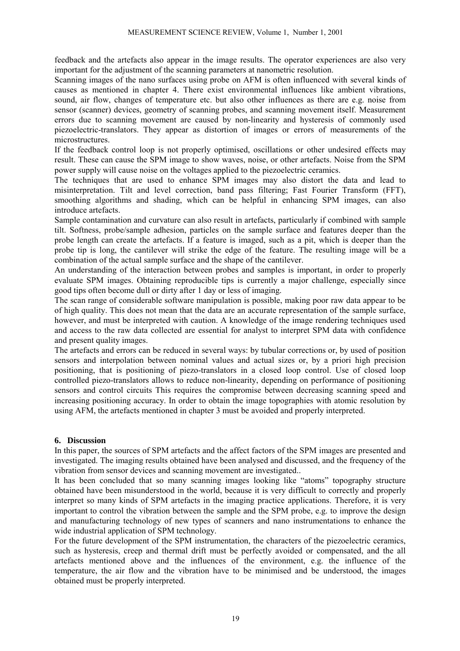feedback and the artefacts also appear in the image results. The operator experiences are also very important for the adjustment of the scanning parameters at nanometric resolution.

Scanning images of the nano surfaces using probe on AFM is often influenced with several kinds of causes as mentioned in chapter 4. There exist environmental influences like ambient vibrations, sound, air flow, changes of temperature etc. but also other influences as there are e.g. noise from sensor (scanner) devices, geometry of scanning probes, and scanning movement itself. Measurement errors due to scanning movement are caused by non-linearity and hysteresis of commonly used piezoelectric-translators. They appear as distortion of images or errors of measurements of the microstructures.

If the feedback control loop is not properly optimised, oscillations or other undesired effects may result. These can cause the SPM image to show waves, noise, or other artefacts. Noise from the SPM power supply will cause noise on the voltages applied to the piezoelectric ceramics.

The techniques that are used to enhance SPM images may also distort the data and lead to misinterpretation. Tilt and level correction, band pass filtering; Fast Fourier Transform (FFT), smoothing algorithms and shading, which can be helpful in enhancing SPM images, can also introduce artefacts.

Sample contamination and curvature can also result in artefacts, particularly if combined with sample tilt. Softness, probe/sample adhesion, particles on the sample surface and features deeper than the probe length can create the artefacts. If a feature is imaged, such as a pit, which is deeper than the probe tip is long, the cantilever will strike the edge of the feature. The resulting image will be a combination of the actual sample surface and the shape of the cantilever.

An understanding of the interaction between probes and samples is important, in order to properly evaluate SPM images. Obtaining reproducible tips is currently a major challenge, especially since good tips often become dull or dirty after 1 day or less of imaging.

The scan range of considerable software manipulation is possible, making poor raw data appear to be of high quality. This does not mean that the data are an accurate representation of the sample surface, however, and must be interpreted with caution. A knowledge of the image rendering techniques used and access to the raw data collected are essential for analyst to interpret SPM data with confidence and present quality images.

The artefacts and errors can be reduced in several ways: by tubular corrections or, by used of position sensors and interpolation between nominal values and actual sizes or, by a priori high precision positioning, that is positioning of piezo-translators in a closed loop control. Use of closed loop controlled piezo-translators allows to reduce non-linearity, depending on performance of positioning sensors and control circuits This requires the compromise between decreasing scanning speed and increasing positioning accuracy. In order to obtain the image topographies with atomic resolution by using AFM, the artefacts mentioned in chapter 3 must be avoided and properly interpreted.

### **6. Discussion**

In this paper, the sources of SPM artefacts and the affect factors of the SPM images are presented and investigated. The imaging results obtained have been analysed and discussed, and the frequency of the vibration from sensor devices and scanning movement are investigated..

It has been concluded that so many scanning images looking like "atoms" topography structure obtained have been misunderstood in the world, because it is very difficult to correctly and properly interpret so many kinds of SPM artefacts in the imaging practice applications. Therefore, it is very important to control the vibration between the sample and the SPM probe, e.g. to improve the design and manufacturing technology of new types of scanners and nano instrumentations to enhance the wide industrial application of SPM technology.

For the future development of the SPM instrumentation, the characters of the piezoelectric ceramics, such as hysteresis, creep and thermal drift must be perfectly avoided or compensated, and the all artefacts mentioned above and the influences of the environment, e.g. the influence of the temperature, the air flow and the vibration have to be minimised and be understood, the images obtained must be properly interpreted.